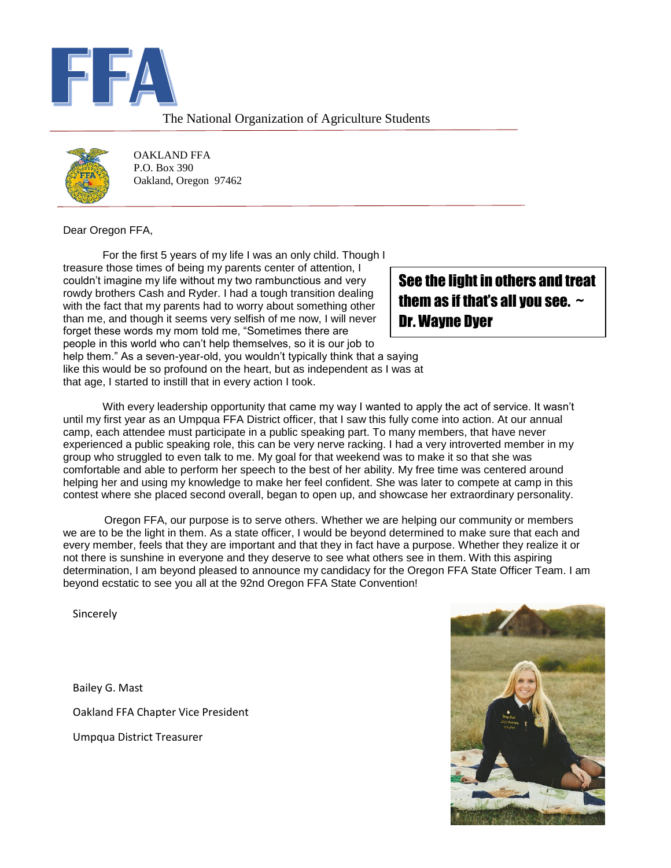

#### The National Organization of Agriculture Students



OAKLAND FFA P.O. Box 390 Oakland, Oregon 97462

Dear Oregon FFA,

For the first 5 years of my life I was an only child. Though I treasure those times of being my parents center of attention, I couldn't imagine my life without my two rambunctious and very rowdy brothers Cash and Ryder. I had a tough transition dealing with the fact that my parents had to worry about something other than me, and though it seems very selfish of me now, I will never forget these words my mom told me, "Sometimes there are people in this world who can't help themselves, so it is our job to help them." As a seven-year-old, you wouldn't typically think that a saying like this would be so profound on the heart, but as independent as I was at that age, I started to instill that in every action I took.

### See the light in others and treat them as if that's all you see.  $\sim$ Dr. Wayne Dyer

With every leadership opportunity that came my way I wanted to apply the act of service. It wasn't until my first year as an Umpqua FFA District officer, that I saw this fully come into action. At our annual camp, each attendee must participate in a public speaking part. To many members, that have never experienced a public speaking role, this can be very nerve racking. I had a very introverted member in my group who struggled to even talk to me. My goal for that weekend was to make it so that she was comfortable and able to perform her speech to the best of her ability. My free time was centered around helping her and using my knowledge to make her feel confident. She was later to compete at camp in this contest where she placed second overall, began to open up, and showcase her extraordinary personality.

 Oregon FFA, our purpose is to serve others. Whether we are helping our community or members we are to be the light in them. As a state officer, I would be beyond determined to make sure that each and every member, feels that they are important and that they in fact have a purpose. Whether they realize it or not there is sunshine in everyone and they deserve to see what others see in them. With this aspiring determination, I am beyond pleased to announce my candidacy for the Oregon FFA State Officer Team. I am beyond ecstatic to see you all at the 92nd Oregon FFA State Convention!

Sincerely

Bailey G. Mast Oakland FFA Chapter Vice President Umpqua District Treasurer